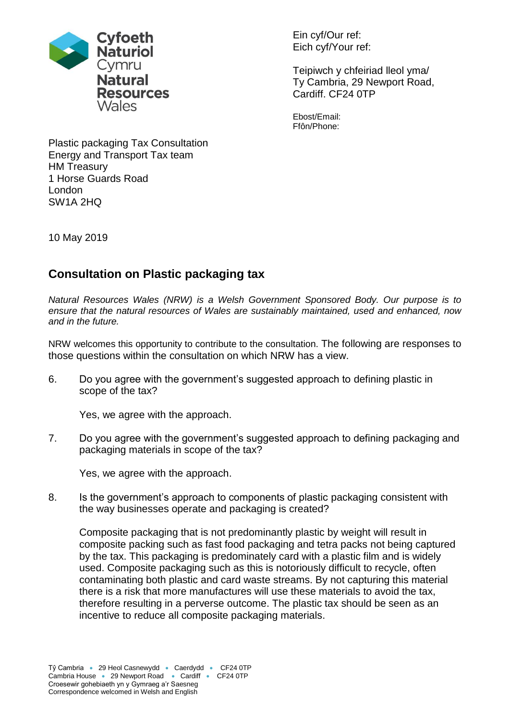

Ein cyf/Our ref: Eich cyf/Your ref:

Teipiwch y chfeiriad lleol yma/ Ty Cambria, 29 Newport Road, Cardiff. CF24 0TP

Ebost/Email: Ffôn/Phone:

Plastic packaging Tax Consultation Energy and Transport Tax team HM Treasury 1 Horse Guards Road London SW1A 2HQ

10 May 2019

## **Consultation on Plastic packaging tax**

*Natural Resources Wales (NRW) is a Welsh Government Sponsored Body. Our purpose is to ensure that the natural resources of Wales are sustainably maintained, used and enhanced, now and in the future.*

NRW welcomes this opportunity to contribute to the consultation. The following are responses to those questions within the consultation on which NRW has a view.

6. Do you agree with the government's suggested approach to defining plastic in scope of the tax?

Yes, we agree with the approach.

7. Do you agree with the government's suggested approach to defining packaging and packaging materials in scope of the tax?

Yes, we agree with the approach.

8. Is the government's approach to components of plastic packaging consistent with the way businesses operate and packaging is created?

Composite packaging that is not predominantly plastic by weight will result in composite packing such as fast food packaging and tetra packs not being captured by the tax. This packaging is predominately card with a plastic film and is widely used. Composite packaging such as this is notoriously difficult to recycle, often contaminating both plastic and card waste streams. By not capturing this material there is a risk that more manufactures will use these materials to avoid the tax, therefore resulting in a perverse outcome. The plastic tax should be seen as an incentive to reduce all composite packaging materials.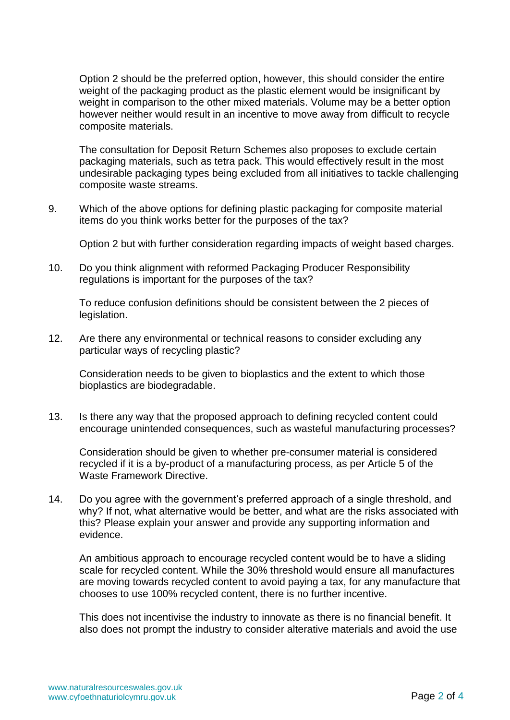Option 2 should be the preferred option, however, this should consider the entire weight of the packaging product as the plastic element would be insignificant by weight in comparison to the other mixed materials. Volume may be a better option however neither would result in an incentive to move away from difficult to recycle composite materials.

The consultation for Deposit Return Schemes also proposes to exclude certain packaging materials, such as tetra pack. This would effectively result in the most undesirable packaging types being excluded from all initiatives to tackle challenging composite waste streams.

9. Which of the above options for defining plastic packaging for composite material items do you think works better for the purposes of the tax?

Option 2 but with further consideration regarding impacts of weight based charges.

10. Do you think alignment with reformed Packaging Producer Responsibility regulations is important for the purposes of the tax?

To reduce confusion definitions should be consistent between the 2 pieces of legislation.

12. Are there any environmental or technical reasons to consider excluding any particular ways of recycling plastic?

Consideration needs to be given to bioplastics and the extent to which those bioplastics are biodegradable.

13. Is there any way that the proposed approach to defining recycled content could encourage unintended consequences, such as wasteful manufacturing processes?

Consideration should be given to whether pre-consumer material is considered recycled if it is a by-product of a manufacturing process, as per Article 5 of the Waste Framework Directive.

14. Do you agree with the government's preferred approach of a single threshold, and why? If not, what alternative would be better, and what are the risks associated with this? Please explain your answer and provide any supporting information and evidence.

An ambitious approach to encourage recycled content would be to have a sliding scale for recycled content. While the 30% threshold would ensure all manufactures are moving towards recycled content to avoid paying a tax, for any manufacture that chooses to use 100% recycled content, there is no further incentive.

This does not incentivise the industry to innovate as there is no financial benefit. It also does not prompt the industry to consider alterative materials and avoid the use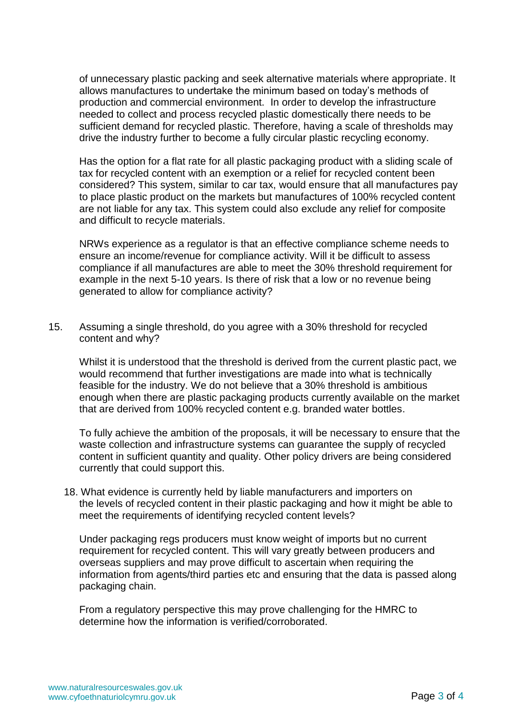of unnecessary plastic packing and seek alternative materials where appropriate. It allows manufactures to undertake the minimum based on today's methods of production and commercial environment. In order to develop the infrastructure needed to collect and process recycled plastic domestically there needs to be sufficient demand for recycled plastic. Therefore, having a scale of thresholds may drive the industry further to become a fully circular plastic recycling economy.

Has the option for a flat rate for all plastic packaging product with a sliding scale of tax for recycled content with an exemption or a relief for recycled content been considered? This system, similar to car tax, would ensure that all manufactures pay to place plastic product on the markets but manufactures of 100% recycled content are not liable for any tax. This system could also exclude any relief for composite and difficult to recycle materials.

NRWs experience as a regulator is that an effective compliance scheme needs to ensure an income/revenue for compliance activity. Will it be difficult to assess compliance if all manufactures are able to meet the 30% threshold requirement for example in the next 5-10 years. Is there of risk that a low or no revenue being generated to allow for compliance activity?

15. Assuming a single threshold, do you agree with a 30% threshold for recycled content and why?

Whilst it is understood that the threshold is derived from the current plastic pact, we would recommend that further investigations are made into what is technically feasible for the industry. We do not believe that a 30% threshold is ambitious enough when there are plastic packaging products currently available on the market that are derived from 100% recycled content e.g. branded water bottles.

To fully achieve the ambition of the proposals, it will be necessary to ensure that the waste collection and infrastructure systems can guarantee the supply of recycled content in sufficient quantity and quality. Other policy drivers are being considered currently that could support this.

18. What evidence is currently held by liable manufacturers and importers on the levels of recycled content in their plastic packaging and how it might be able to meet the requirements of identifying recycled content levels?

Under packaging regs producers must know weight of imports but no current requirement for recycled content. This will vary greatly between producers and overseas suppliers and may prove difficult to ascertain when requiring the information from agents/third parties etc and ensuring that the data is passed along packaging chain.

From a regulatory perspective this may prove challenging for the HMRC to determine how the information is verified/corroborated.